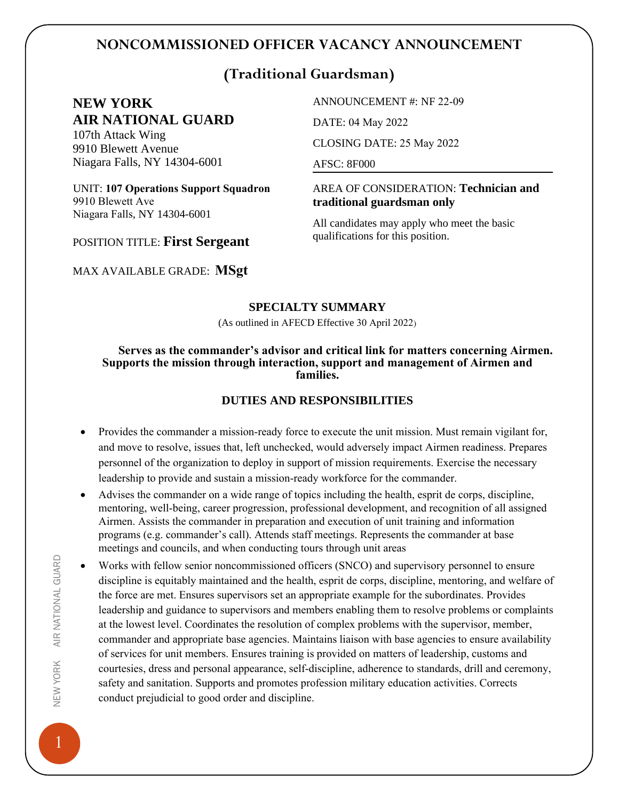## **NONCOMMISSIONED OFFICER VACANCY ANNOUNCEMENT**

# **(Traditional Guardsman)**

## **NEW YORK AIR NATIONAL GUARD**

107th Attack Wing 9910 Blewett Avenue Niagara Falls, NY 14304-6001

UNIT: **107 Operations Support Squadron** 9910 Blewett Ave Niagara Falls, NY 14304-6001

ANNOUNCEMENT #: NF 22-09

DATE: 04 May 2022

CLOSING DATE: 25 May 2022

AFSC: 8F000

AREA OF CONSIDERATION: **Technician and traditional guardsman only** 

All candidates may apply who meet the basic qualifications for this position.

# POSITION TITLE: **First Sergeant**

MAX AVAILABLE GRADE: **MSgt**

#### **SPECIALTY SUMMARY**

(As outlined in AFECD Effective 30 April 2022)

#### **Serves as the commander's advisor and critical link for matters concerning Airmen. Supports the mission through interaction, support and management of Airmen and families.**

## **DUTIES AND RESPONSIBILITIES**

- Provides the commander a mission-ready force to execute the unit mission. Must remain vigilant for, and move to resolve, issues that, left unchecked, would adversely impact Airmen readiness. Prepares personnel of the organization to deploy in support of mission requirements. Exercise the necessary leadership to provide and sustain a mission-ready workforce for the commander.
- Advises the commander on a wide range of topics including the health, esprit de corps, discipline, mentoring, well-being, career progression, professional development, and recognition of all assigned Airmen. Assists the commander in preparation and execution of unit training and information programs (e.g. commander's call). Attends staff meetings. Represents the commander at base meetings and councils, and when conducting tours through unit areas
- Works with fellow senior noncommissioned officers (SNCO) and supervisory personnel to ensure discipline is equitably maintained and the health, esprit de corps, discipline, mentoring, and welfare of the force are met. Ensures supervisors set an appropriate example for the subordinates. Provides leadership and guidance to supervisors and members enabling them to resolve problems or complaints at the lowest level. Coordinates the resolution of complex problems with the supervisor, member, commander and appropriate base agencies. Maintains liaison with base agencies to ensure availability of services for unit members. Ensures training is provided on matters of leadership, customs and courtesies, dress and personal appearance, self-discipline, adherence to standards, drill and ceremony, safety and sanitation. Supports and promotes profession military education activities. Corrects conduct prejudicial to good order and discipline.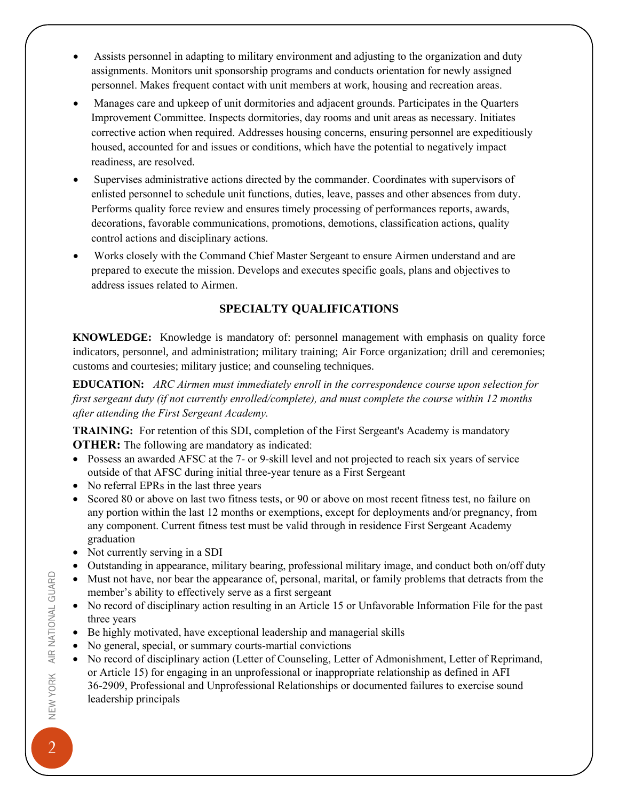- Assists personnel in adapting to military environment and adjusting to the organization and duty assignments. Monitors unit sponsorship programs and conducts orientation for newly assigned personnel. Makes frequent contact with unit members at work, housing and recreation areas.
- Manages care and upkeep of unit dormitories and adjacent grounds. Participates in the Quarters Improvement Committee. Inspects dormitories, day rooms and unit areas as necessary. Initiates corrective action when required. Addresses housing concerns, ensuring personnel are expeditiously housed, accounted for and issues or conditions, which have the potential to negatively impact readiness, are resolved.
- Supervises administrative actions directed by the commander. Coordinates with supervisors of enlisted personnel to schedule unit functions, duties, leave, passes and other absences from duty. Performs quality force review and ensures timely processing of performances reports, awards, decorations, favorable communications, promotions, demotions, classification actions, quality control actions and disciplinary actions.
- Works closely with the Command Chief Master Sergeant to ensure Airmen understand and are prepared to execute the mission. Develops and executes specific goals, plans and objectives to address issues related to Airmen.

## **SPECIALTY QUALIFICATIONS**

**KNOWLEDGE:** Knowledge is mandatory of: personnel management with emphasis on quality force indicators, personnel, and administration; military training; Air Force organization; drill and ceremonies; customs and courtesies; military justice; and counseling techniques.

**EDUCATION:** *ARC Airmen must immediately enroll in the correspondence course upon selection for first sergeant duty (if not currently enrolled/complete), and must complete the course within 12 months after attending the First Sergeant Academy.*

**TRAINING:** For retention of this SDI, completion of the First Sergeant's Academy is mandatory **OTHER:** The following are mandatory as indicated:

- Possess an awarded AFSC at the 7- or 9-skill level and not projected to reach six years of service outside of that AFSC during initial three-year tenure as a First Sergeant
- No referral EPRs in the last three years
- Scored 80 or above on last two fitness tests, or 90 or above on most recent fitness test, no failure on any portion within the last 12 months or exemptions, except for deployments and/or pregnancy, from any component. Current fitness test must be valid through in residence First Sergeant Academy graduation
- Not currently serving in a SDI
- Outstanding in appearance, military bearing, professional military image, and conduct both on/off duty
- Must not have, nor bear the appearance of, personal, marital, or family problems that detracts from the member's ability to effectively serve as a first sergeant
- No record of disciplinary action resulting in an Article 15 or Unfavorable Information File for the past three years
- Be highly motivated, have exceptional leadership and managerial skills
- No general, special, or summary courts-martial convictions
- No record of disciplinary action (Letter of Counseling, Letter of Admonishment, Letter of Reprimand, or Article 15) for engaging in an unprofessional or inappropriate relationship as defined in AFI 36-2909, Professional and Unprofessional Relationships or documented failures to exercise sound leadership principals